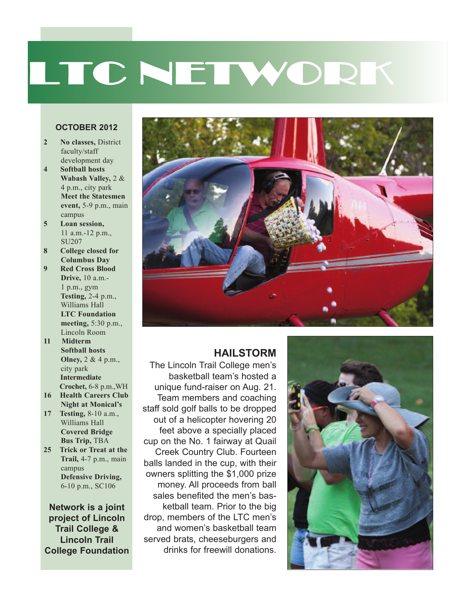# LTC NETWORK

#### **OCTOBER 2012**

- **2 No classes,** District faculty/staff development day
- **4 Softball hosts Wabash Valley,** 2 & 4 p.m., city park **Meet the Statesmen event,** 5-9 p.m., main campus
- **5 Loan session,** 11 a.m.-12 p.m., SU207
- **8 College closed for Columbus Day**
- **9 Red Cross Blood Drive,** 10 a.m.- 1 p.m., gym **Testing,** 2-4 p.m., Williams Hall **LTC Foundation meeting,** 5:30 p.m., Lincoln Room
- **11 Midterm Softball hosts Olney,** 2 & 4 p.m., city park **Intermediate Crochet,** 6-8 p.m.,WH
- **16 Health Careers Club Night at Monical's**
- **17 Testing,** 8-10 a.m., Williams Hall **Covered Bridge Bus Trip,** TBA
- **25 Trick or Treat at the Trail,** 4-7 p.m., main campus **Defensive Driving,** 6-10 p.m., SC106

**Network is a joint project of Lincoln Trail College & Lincoln Trail College Foundation**



#### **HAILSTORM**

The Lincoln Trail College men's basketball team's hosted a unique fund-raiser on Aug. 21. Team members and coaching staff sold golf balls to be dropped out of a helicopter hovering 20 feet above a specially placed cup on the No. 1 fairway at Quail Creek Country Club. Fourteen balls landed in the cup, with their owners splitting the \$1,000 prize money. All proceeds from ball sales benefited the men's basketball team. Prior to the big drop, members of the LTC men's and women's basketball team served brats, cheeseburgers and drinks for freewill donations.

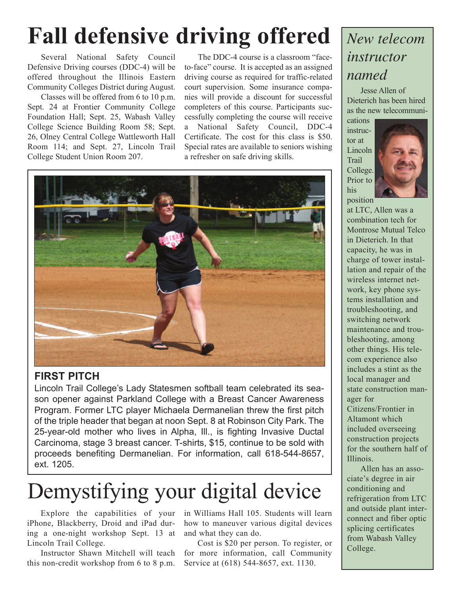## **Fall defensive driving offered**

Several National Safety Council Defensive Driving courses (DDC-4) will be offered throughout the Illinois Eastern Community Colleges District during August.

Classes will be offered from 6 to 10 p.m. Sept. 24 at Frontier Community College Foundation Hall; Sept. 25, Wabash Valley College Science Building Room 58; Sept. 26, Olney Central College Wattleworth Hall Room 114; and Sept. 27, Lincoln Trail College Student Union Room 207.

The DDC-4 course is a classroom "faceto-face" course. It is accepted as an assigned driving course as required for traffic-related court supervision. Some insurance companies will provide a discount for successful completers of this course. Participants successfully completing the course will receive a National Safety Council, DDC-4 Certificate. The cost for this class is \$50. Special rates are available to seniors wishing a refresher on safe driving skills.



### **FIRST PITCH**

Lincoln Trail College's Lady Statesmen softball team celebrated its season opener against Parkland College with a Breast Cancer Awareness Program. Former LTC player Michaela Dermanelian threw the first pitch of the triple header that began at noon Sept. 8 at Robinson City Park. The 25-year-old mother who lives in Alpha, Ill., is fighting Invasive Ductal Carcinoma, stage 3 breast cancer. T-shirts, \$15, continue to be sold with proceeds benefiting Dermanelian. For information, call 618-544-8657, ext. 1205.

## Demystifying your digital device

Explore the capabilities of your iPhone, Blackberry, Droid and iPad during a one-night workshop Sept. 13 at Lincoln Trail College.

Instructor Shawn Mitchell will teach this non-credit workshop from 6 to 8 p.m.

in Williams Hall 105. Students will learn how to maneuver various digital devices and what they can do.

Cost is \$20 per person. To register, or for more information, call Community Service at (618) 544-8657, ext. 1130.

### *New telecom instructor named*

Jesse Allen of Dieterich has been hired as the new telecommuni-

cations instructor at **Lincoln** Trail College. Prior to his position



at LTC, Allen was a combination tech for Montrose Mutual Telco in Dieterich. In that capacity, he was in charge of tower installation and repair of the wireless internet network, key phone systems installation and troubleshooting, and switching network maintenance and troubleshooting, among other things. His telecom experience also includes a stint as the local manager and state construction manager for Citizens/Frontier in Altamont which included overseeing construction projects for the southern half of Illinois.

Allen has an associate's degree in air conditioning and refrigeration from LTC and outside plant interconnect and fiber optic splicing certificates from Wabash Valley College.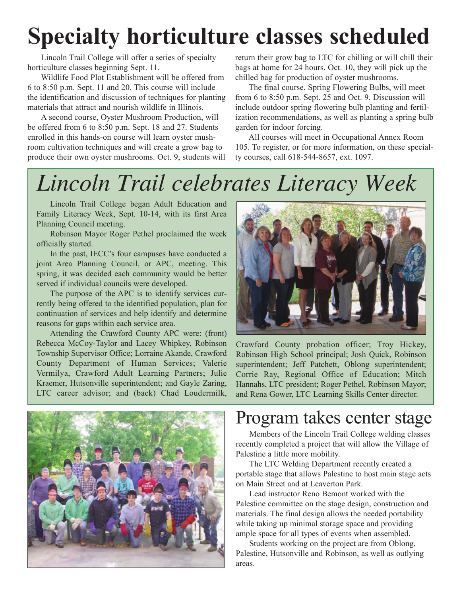## **Specialty horticulture classes scheduled**

Lincoln Trail College will offer a series of specialty horticulture classes beginning Sept. 11.

Wildlife Food Plot Establishment will be offered from 6 to 8:50 p.m. Sept. 11 and 20. This course will include the identification and discussion of techniques for planting materials that attract and nourish wildlife in Illinois.

A second course, Oyster Mushroom Production, will be offered from 6 to 8:50 p.m. Sept. 18 and 27. Students enrolled in this hands-on course will learn oyster mushroom cultivation techniques and will create a grow bag to produce their own oyster mushrooms. Oct. 9, students will return their grow bag to LTC for chilling or will chill their bags at home for 24 hours. Oct. 10, they will pick up the chilled bag for production of oyster mushrooms.

The final course, Spring Flowering Bulbs, will meet from 6 to 8:50 p.m. Sept. 25 and Oct. 9. Discussion will include outdoor spring flowering bulb planting and fertilization recommendations, as well as planting a spring bulb garden for indoor forcing.

All courses will meet in Occupational Annex Room 105. To register, or for more information, on these specialty courses, call 618-544-8657, ext. 1097.

### *Lincoln Trail celebrates Literacy Week*

Lincoln Trail College began Adult Education and Family Literacy Week, Sept. 10-14, with its first Area Planning Council meeting.

Robinson Mayor Roger Pethel proclaimed the week officially started.

In the past, IECC's four campuses have conducted a joint Area Planning Council, or APC, meeting. This spring, it was decided each community would be better served if individual councils were developed.

The purpose of the APC is to identify services currently being offered to the identified population, plan for continuation of services and help identify and determine reasons for gaps within each service area.

Attending the Crawford County APC were: (front) Rebecca McCoy-Taylor and Lacey Whipkey, Robinson Township Supervisor Office; Lorraine Akande, Crawford County Department of Human Services; Valerie Vermilya, Crawford Adult Learning Partners; Julie Kraemer, Hutsonville superintendent; and Gayle Zaring, LTC career advisor; and (back) Chad Loudermilk,





Crawford County probation officer; Troy Hickey, Robinson High School principal; Josh Quick, Robinson superintendent; Jeff Patchett, Oblong superintendent; Corrie Ray, Regional Office of Education; Mitch Hannahs, LTC president; Roger Pethel, Robinson Mayor; and Rena Gower, LTC Learning Skills Center director.

### Program takes center stage

Members of the Lincoln Trail College welding classes recently completed a project that will allow the Village of Palestine a little more mobility.

The LTC Welding Department recently created a portable stage that allows Palestine to host main stage acts on Main Street and at Leaverton Park.

Lead instructor Reno Bemont worked with the Palestine committee on the stage design, construction and materials. The final design allows the needed portability while taking up minimal storage space and providing ample space for all types of events when assembled.

Students working on the project are from Oblong, Palestine, Hutsonville and Robinson, as well as outlying areas.